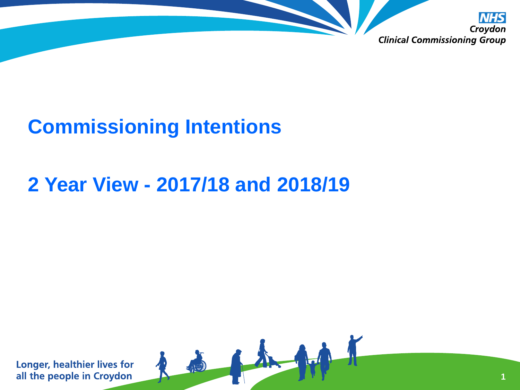

A

## **Commissioning Intentions**

## **2 Year View - 2017/18 and 2018/19**

**Longer, healthier lives for** all the people in Croydon

**1**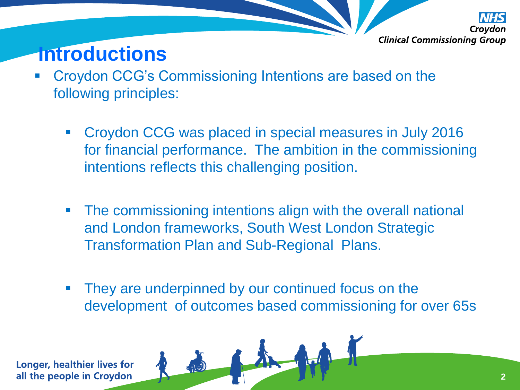

## **Introductions**

- **Example 2 Croydon CCG's Commissioning Intentions are based on the** following principles:
	- Croydon CCG was placed in special measures in July 2016 for financial performance. The ambition in the commissioning intentions reflects this challenging position.
	- **The commissioning intentions align with the overall national** and London frameworks, South West London Strategic Transformation Plan and Sub-Regional Plans.
	- **They are underpinned by our continued focus on the** development of outcomes based commissioning for over 65s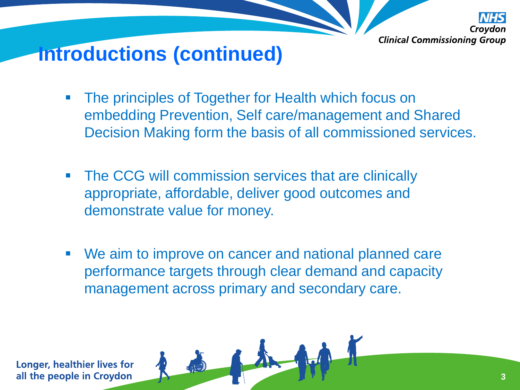

# **Introductions (continued)**

- **The principles of Together for Health which focus on** embedding Prevention, Self care/management and Shared Decision Making form the basis of all commissioned services.
- **The CCG will commission services that are clinically** appropriate, affordable, deliver good outcomes and demonstrate value for money.
- We aim to improve on cancer and national planned care performance targets through clear demand and capacity management across primary and secondary care.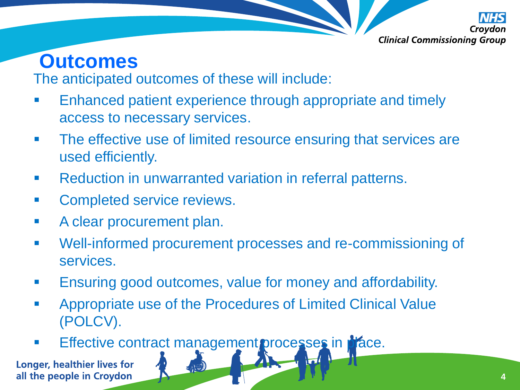

### **Outcomes**

The anticipated outcomes of these will include:

- Enhanced patient experience through appropriate and timely access to necessary services.
- **The effective use of limited resource ensuring that services are** used efficiently.
- **Reduction in unwarranted variation in referral patterns.**
- **EXECOMPLETED SERVICE TEVIEWS.**
- **A clear procurement plan.**
- Well-informed procurement processes and re-commissioning of services.
- **Ensuring good outcomes, value for money and affordability.**
- **Appropriate use of the Procedures of Limited Clinical Value** (POLCV).
- Effective contract management processes in place.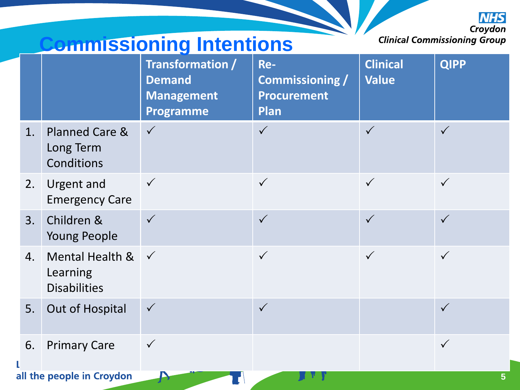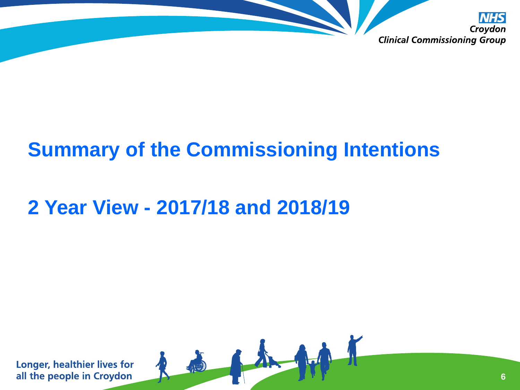

## **Summary of the Commissioning Intentions**

高不好

# **2 Year View - 2017/18 and 2018/19**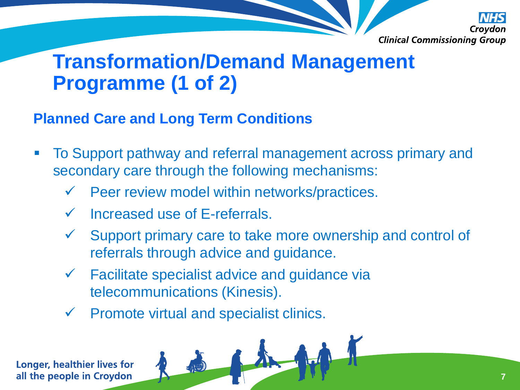

### **Transformation/Demand Management Programme (1 of 2)**

### **Planned Care and Long Term Conditions**

- To Support pathway and referral management across primary and secondary care through the following mechanisms:
	- $\checkmark$  Peer review model within networks/practices.
	- $\checkmark$  Increased use of E-referrals.
	- Support primary care to take more ownership and control of referrals through advice and guidance.
	- $\checkmark$  Facilitate specialist advice and guidance via telecommunications (Kinesis).
	- $\checkmark$  Promote virtual and specialist clinics.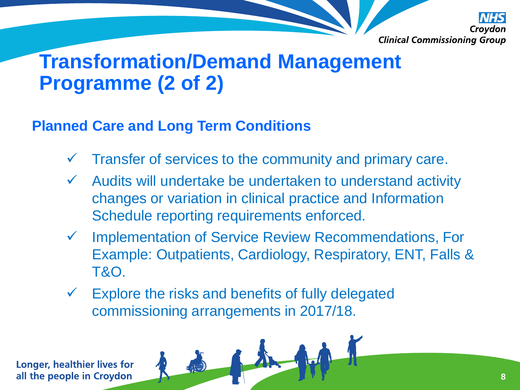

## **Transformation/Demand Management Programme (2 of 2)**

### **Planned Care and Long Term Conditions**

- $\checkmark$  Transfer of services to the community and primary care.
- $\checkmark$  Audits will undertake be undertaken to understand activity changes or variation in clinical practice and Information Schedule reporting requirements enforced.
- Implementation of Service Review Recommendations, For Example: Outpatients, Cardiology, Respiratory, ENT, Falls & T&O.
- $\checkmark$  Explore the risks and benefits of fully delegated commissioning arrangements in 2017/18.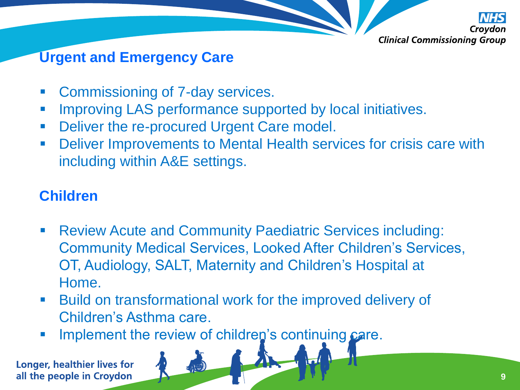

### **Urgent and Emergency Care**

- **EXECOMMISSIONING OF 7-day services.**
- **Improving LAS performance supported by local initiatives.**
- **Deliver the re-procured Urgent Care model.**
- **-** Deliver Improvements to Mental Health services for crisis care with including within A&E settings.

### **Children**

- Review Acute and Community Paediatric Services including: Community Medical Services, Looked After Children's Services, OT, Audiology, SALT, Maternity and Children's Hospital at Home.
- **Build on transformational work for the improved delivery of** Children's Asthma care.
- **Implement the review of children's continuing care.**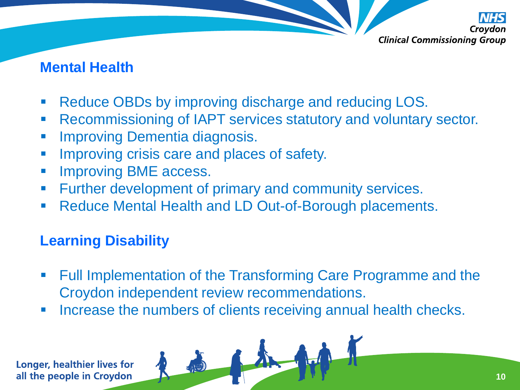

#### **Mental Health**

- Reduce OBDs by improving discharge and reducing LOS.
- **Recommissioning of IAPT services statutory and voluntary sector.**
- **Improving Dementia diagnosis.**
- Improving crisis care and places of safety.
- **Improving BME access.**
- **Further development of primary and community services.**
- Reduce Mental Health and LD Out-of-Borough placements.

### **Learning Disability**

- Full Implementation of the Transforming Care Programme and the Croydon independent review recommendations.
- Increase the numbers of clients receiving annual health checks.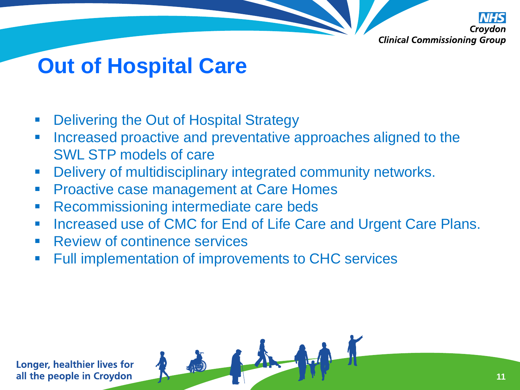

# **Out of Hospital Care**

- Delivering the Out of Hospital Strategy
- **Increased proactive and preventative approaches aligned to the** SWL STP models of care
- Delivery of multidisciplinary integrated community networks.
- **Proactive case management at Care Homes**
- Recommissioning intermediate care beds
- **Increased use of CMC for End of Life Care and Urgent Care Plans.**

高小州

- Review of continence services
- Full implementation of improvements to CHC services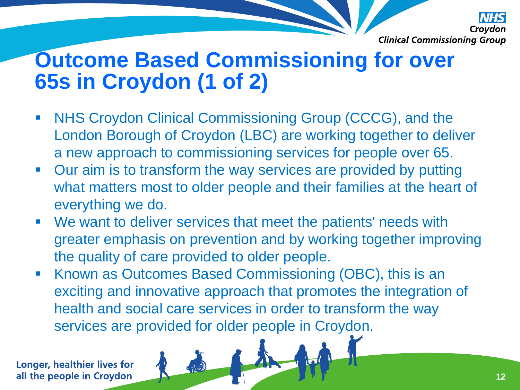

# **Outcome Based Commissioning for over 65s in Croydon (1 of 2)**

- NHS Croydon Clinical Commissioning Group (CCCG), and the London Borough of Croydon (LBC) are working together to deliver a new approach to commissioning services for people over 65.
- Our aim is to transform the way services are provided by putting what matters most to older people and their families at the heart of everything we do.
- We want to deliver services that meet the patients' needs with greater emphasis on prevention and by working together improving the quality of care provided to older people.
- Known as Outcomes Based Commissioning (OBC), this is an exciting and innovative approach that promotes the integration of health and social care services in order to transform the way services are provided for older people in Croydon.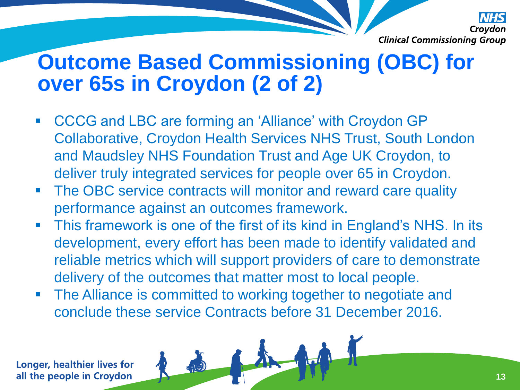

# **Outcome Based Commissioning (OBC) for over 65s in Croydon (2 of 2)**

- CCCG and LBC are forming an 'Alliance' with Croydon GP Collaborative, Croydon Health Services NHS Trust, South London and Maudsley NHS Foundation Trust and Age UK Croydon, to deliver truly integrated services for people over 65 in Croydon.
- The OBC service contracts will monitor and reward care quality performance against an outcomes framework.
- This framework is one of the first of its kind in England's NHS. In its development, every effort has been made to identify validated and reliable metrics which will support providers of care to demonstrate delivery of the outcomes that matter most to local people.
- **The Alliance is committed to working together to negotiate and** conclude these service Contracts before 31 December 2016.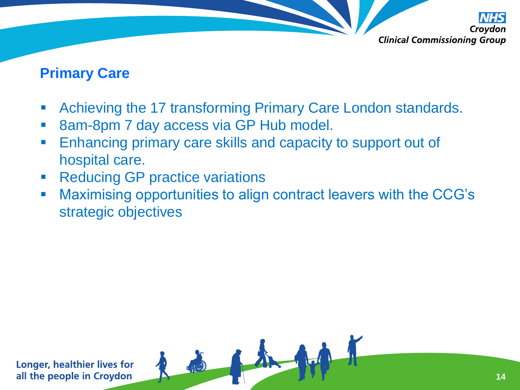

#### **Primary Care**

- **EXED Achieving the 17 transforming Primary Care London standards.**
- 8am-8pm 7 day access via GP Hub model.

- **Enhancing primary care skills and capacity to support out of** hospital care.
- **Reducing GP practice variations**
- Maximising opportunities to align contract leavers with the CCG's strategic objectives

LA Ad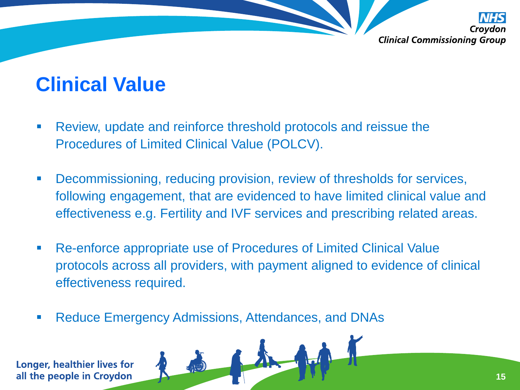

### **Clinical Value**

- Review, update and reinforce threshold protocols and reissue the Procedures of Limited Clinical Value (POLCV).
- Decommissioning, reducing provision, review of thresholds for services, following engagement, that are evidenced to have limited clinical value and effectiveness e.g. Fertility and IVF services and prescribing related areas.
- Re-enforce appropriate use of Procedures of Limited Clinical Value protocols across all providers, with payment aligned to evidence of clinical effectiveness required.
- **Reduce Emergency Admissions, Attendances, and DNAs**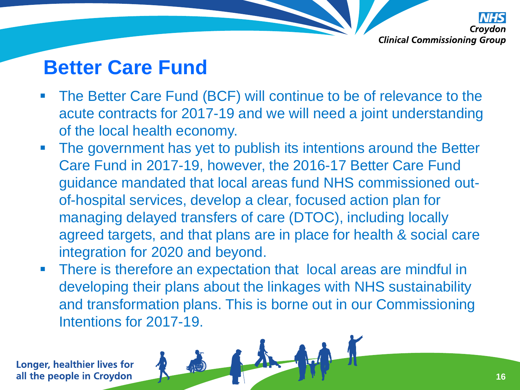

### **Better Care Fund**

- The Better Care Fund (BCF) will continue to be of relevance to the acute contracts for 2017-19 and we will need a joint understanding of the local health economy.
- **The government has yet to publish its intentions around the Better** Care Fund in 2017-19, however, the 2016-17 Better Care Fund guidance mandated that local areas fund NHS commissioned outof-hospital services, develop a clear, focused action plan for managing delayed transfers of care (DTOC), including locally agreed targets, and that plans are in place for health & social care integration for 2020 and beyond.
- **There is therefore an expectation that local areas are mindful in** developing their plans about the linkages with NHS sustainability and transformation plans. This is borne out in our Commissioning Intentions for 2017-19.